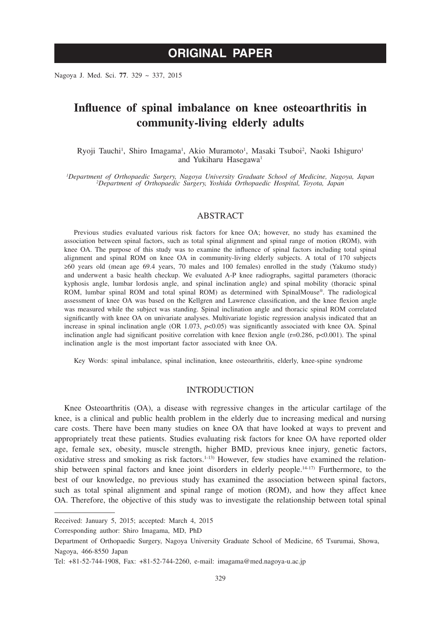# **ORIGINAL PAPER**

Nagoya J. Med. Sci. **77**. 329 ~ 337, 2015

## **Influence of spinal imbalance on knee osteoarthritis in community-living elderly adults**

Ryoji Tauchi<sup>1</sup>, Shiro Imagama<sup>1</sup>, Akio Muramoto<sup>1</sup>, Masaki Tsuboi<sup>2</sup>, Naoki Ishiguro<sup>1</sup> and Yukiharu Hasegawa<sup>1</sup>

*1 Department of Orthopaedic Surgery, Nagoya University Graduate School of Medicine, Nagoya, Japan <sup>2</sup> Department of Orthopaedic Surgery, Yoshida Orthopaedic Hospital, Toyota, Japan*

## ABSTRACT

Previous studies evaluated various risk factors for knee OA; however, no study has examined the association between spinal factors, such as total spinal alignment and spinal range of motion (ROM), with knee OA. The purpose of this study was to examine the influence of spinal factors including total spinal alignment and spinal ROM on knee OA in community-living elderly subjects. A total of 170 subjects ≥60 years old (mean age 69.4 years, 70 males and 100 females) enrolled in the study (Yakumo study) and underwent a basic health checkup. We evaluated A-P knee radiographs, sagittal parameters (thoracic kyphosis angle, lumbar lordosis angle, and spinal inclination angle) and spinal mobility (thoracic spinal ROM, lumbar spinal ROM and total spinal ROM) as determined with SpinalMouse®. The radiological assessment of knee OA was based on the Kellgren and Lawrence classification, and the knee flexion angle was measured while the subject was standing. Spinal inclination angle and thoracic spinal ROM correlated significantly with knee OA on univariate analyses. Multivariate logistic regression analysis indicated that an increase in spinal inclination angle (OR  $1.073$ ,  $p<0.05$ ) was significantly associated with knee OA. Spinal inclination angle had significant positive correlation with knee flexion angle  $(r=0.286, p<0.001)$ . The spinal inclination angle is the most important factor associated with knee OA.

Key Words: spinal imbalance, spinal inclination, knee osteoarthritis, elderly, knee-spine syndrome

#### **INTRODUCTION**

Knee Osteoarthritis (OA), a disease with regressive changes in the articular cartilage of the knee, is a clinical and public health problem in the elderly due to increasing medical and nursing care costs. There have been many studies on knee OA that have looked at ways to prevent and appropriately treat these patients. Studies evaluating risk factors for knee OA have reported older age, female sex, obesity, muscle strength, higher BMD, previous knee injury, genetic factors, oxidative stress and smoking as risk factors.<sup>1-13)</sup> However, few studies have examined the relationship between spinal factors and knee joint disorders in elderly people.<sup>14-17)</sup> Furthermore, to the best of our knowledge, no previous study has examined the association between spinal factors, such as total spinal alignment and spinal range of motion (ROM), and how they affect knee OA. Therefore, the objective of this study was to investigate the relationship between total spinal

Corresponding author: Shiro Imagama, MD, PhD

Received: January 5, 2015; accepted: March 4, 2015

Department of Orthopaedic Surgery, Nagoya University Graduate School of Medicine, 65 Tsurumai, Showa, Nagoya, 466-8550 Japan

Tel: +81-52-744-1908, Fax: +81-52-744-2260, e-mail: imagama@med.nagoya-u.ac.jp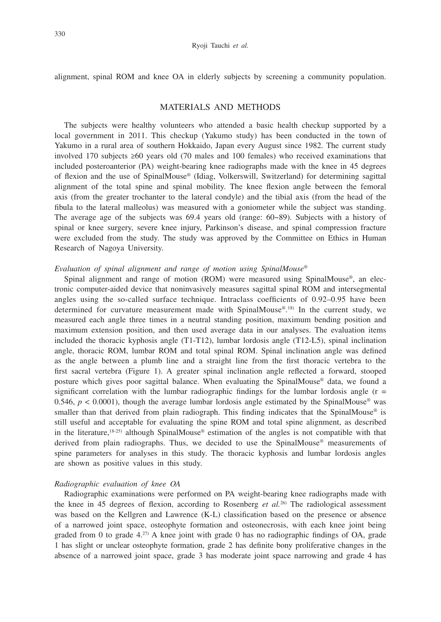alignment, spinal ROM and knee OA in elderly subjects by screening a community population.

## MATERIALS AND METHODS

The subjects were healthy volunteers who attended a basic health checkup supported by a local government in 2011. This checkup (Yakumo study) has been conducted in the town of Yakumo in a rural area of southern Hokkaido, Japan every August since 1982. The current study involved 170 subjects ≥60 years old (70 males and 100 females) who received examinations that included posteroanterior (PA) weight-bearing knee radiographs made with the knee in 45 degrees of flexion and the use of SpinalMouse® (Idiag, Volkerswill, Switzerland) for determining sagittal alignment of the total spine and spinal mobility. The knee flexion angle between the femoral axis (from the greater trochanter to the lateral condyle) and the tibial axis (from the head of the fibula to the lateral malleolus) was measured with a goniometer while the subject was standing. The average age of the subjects was 69.4 years old (range: 60~89). Subjects with a history of spinal or knee surgery, severe knee injury, Parkinson's disease, and spinal compression fracture were excluded from the study. The study was approved by the Committee on Ethics in Human Research of Nagoya University.

## *Evaluation of spinal alignment and range of motion using SpinalMouse®*

Spinal alignment and range of motion (ROM) were measured using SpinalMouse®, an electronic computer-aided device that noninvasively measures sagittal spinal ROM and intersegmental angles using the so-called surface technique. Intraclass coefficients of 0.92–0.95 have been determined for curvature measurement made with SpinalMouse®. 18) In the current study, we measured each angle three times in a neutral standing position, maximum bending position and maximum extension position, and then used average data in our analyses. The evaluation items included the thoracic kyphosis angle (T1-T12), lumbar lordosis angle (T12-L5), spinal inclination angle, thoracic ROM, lumbar ROM and total spinal ROM. Spinal inclination angle was defined as the angle between a plumb line and a straight line from the first thoracic vertebra to the first sacral vertebra (Figure 1). A greater spinal inclination angle reflected a forward, stooped posture which gives poor sagittal balance. When evaluating the SpinalMouse® data, we found a significant correlation with the lumbar radiographic findings for the lumbar lordosis angle  $(r =$ 0.546,  $p < 0.0001$ ), though the average lumbar lordosis angle estimated by the SpinalMouse<sup>®</sup> was smaller than that derived from plain radiograph. This finding indicates that the SpinalMouse<sup>®</sup> is still useful and acceptable for evaluating the spine ROM and total spine alignment, as described in the literature, $18-25$ ) although SpinalMouse<sup>®</sup> estimation of the angles is not compatible with that derived from plain radiographs. Thus, we decided to use the SpinalMouse® measurements of spine parameters for analyses in this study. The thoracic kyphosis and lumbar lordosis angles are shown as positive values in this study.

## *Radiographic evaluation of knee OA*

Radiographic examinations were performed on PA weight-bearing knee radiographs made with the knee in 45 degrees of flexion, according to Rosenberg *et al.*<sup>26</sup> The radiological assessment was based on the Kellgren and Lawrence (K-L) classification based on the presence or absence of a narrowed joint space, osteophyte formation and osteonecrosis, with each knee joint being graded from 0 to grade  $4^{27}$  A knee joint with grade 0 has no radiographic findings of OA, grade 1 has slight or unclear osteophyte formation, grade 2 has definite bony proliferative changes in the absence of a narrowed joint space, grade 3 has moderate joint space narrowing and grade 4 has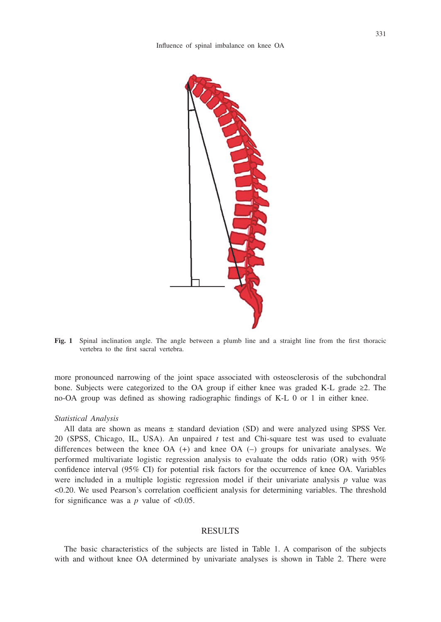

**Fig. 1** Spinal inclination angle. The angle between a plumb line and a straight line from the first thoracic vertebra to the first sacral vertebra.

more pronounced narrowing of the joint space associated with osteosclerosis of the subchondral bone. Subjects were categorized to the OA group if either knee was graded K-L grade ≥2. The no-OA group was defined as showing radiographic findings of K-L 0 or 1 in either knee.

## *Statistical Analysis*

All data are shown as means  $\pm$  standard deviation (SD) and were analyzed using SPSS Ver. 20 (SPSS, Chicago, IL, USA). An unpaired *t* test and Chi-square test was used to evaluate differences between the knee OA (+) and knee OA (–) groups for univariate analyses. We performed multivariate logistic regression analysis to evaluate the odds ratio (OR) with 95% confidence interval (95% CI) for potential risk factors for the occurrence of knee OA. Variables were included in a multiple logistic regression model if their univariate analysis *p* value was <0.20. We used Pearson's correlation coefficient analysis for determining variables. The threshold for significance was a  $p$  value of  $\leq 0.05$ .

#### RESULTS

The basic characteristics of the subjects are listed in Table 1. A comparison of the subjects with and without knee OA determined by univariate analyses is shown in Table 2. There were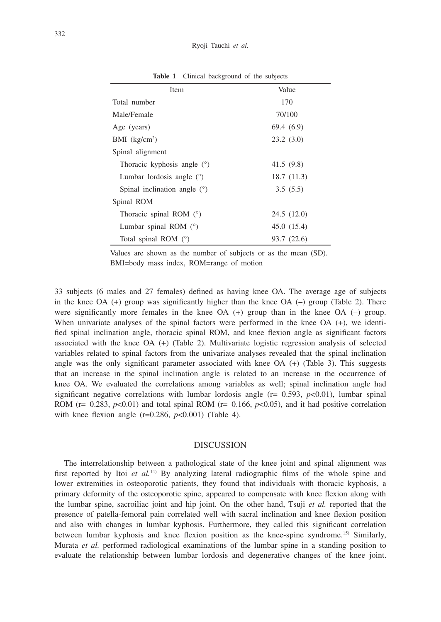| Item                           | Value       |
|--------------------------------|-------------|
| Total number                   | 170         |
| Male/Female                    | 70/100      |
| Age (years)                    | 69.4(6.9)   |
| $BMI$ (kg/cm <sup>2</sup> )    | 23.2(3.0)   |
| Spinal alignment               |             |
| Thoracic kyphosis angle $(°)$  | 41.5(9.8)   |
| Lumbar lordosis angle $(°)$    | 18.7(11.3)  |
| Spinal inclination angle $(°)$ | 3.5(5.5)    |
| Spinal ROM                     |             |
| Thoracic spinal ROM $(°)$      | 24.5(12.0)  |
| Lumbar spinal ROM $(°)$        | 45.0 (15.4) |
| Total spinal ROM $(°)$         | 93.7 (22.6) |

**Table 1** Clinical background of the subjects

Values are shown as the number of subjects or as the mean (SD). BMI=body mass index, ROM=range of motion

33 subjects (6 males and 27 females) defined as having knee OA. The average age of subjects in the knee OA  $(+)$  group was significantly higher than the knee OA  $(-)$  group (Table 2). There were significantly more females in the knee  $OA (+)$  group than in the knee  $OA (-)$  group. When univariate analyses of the spinal factors were performed in the knee  $OA (+)$ , we identified spinal inclination angle, thoracic spinal ROM, and knee flexion angle as significant factors associated with the knee OA (+) (Table 2). Multivariate logistic regression analysis of selected variables related to spinal factors from the univariate analyses revealed that the spinal inclination angle was the only significant parameter associated with knee OA (+) (Table 3). This suggests that an increase in the spinal inclination angle is related to an increase in the occurrence of knee OA. We evaluated the correlations among variables as well; spinal inclination angle had significant negative correlations with lumbar lordosis angle  $(r=-0.593, p<0.01)$ , lumbar spinal ROM ( $r=-0.283$ ,  $p<0.01$ ) and total spinal ROM ( $r=-0.166$ ,  $p<0.05$ ), and it had positive correlation with knee flexion angle  $(r=0.286, p<0.001)$  (Table 4).

#### DISCUSSION

The interrelationship between a pathological state of the knee joint and spinal alignment was first reported by Itoi *et al.*14) By analyzing lateral radiographic films of the whole spine and lower extremities in osteoporotic patients, they found that individuals with thoracic kyphosis, a primary deformity of the osteoporotic spine, appeared to compensate with knee flexion along with the lumbar spine, sacroiliac joint and hip joint. On the other hand, Tsuji *et al.* reported that the presence of patella-femoral pain correlated well with sacral inclination and knee flexion position and also with changes in lumbar kyphosis. Furthermore, they called this significant correlation between lumbar kyphosis and knee flexion position as the knee-spine syndrome.15) Similarly, Murata *et al.* performed radiological examinations of the lumbar spine in a standing position to evaluate the relationship between lumbar lordosis and degenerative changes of the knee joint.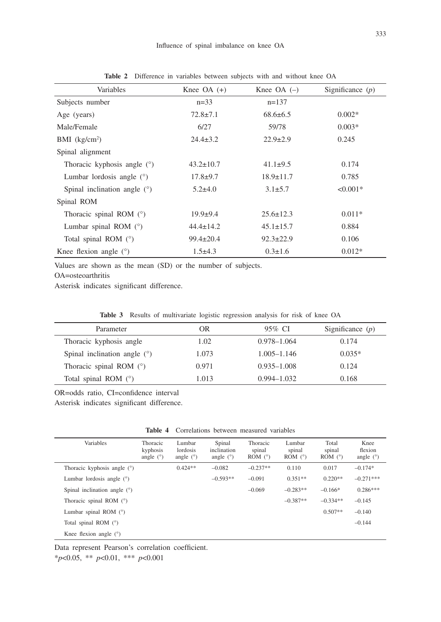| Variables                      | Knee $OA (+)$   | Knee $OA$ $(-)$ |            |
|--------------------------------|-----------------|-----------------|------------|
| Subjects number                | $n=33$          | $n=137$         |            |
| Age (years)                    | $72.8 \pm 7.1$  | $68.6 \pm 6.5$  | $0.002*$   |
| Male/Female                    | 6/27            | 59/78           | $0.003*$   |
| $BMI$ (kg/cm <sup>2</sup> )    | $24.4 \pm 3.2$  | $22.9 \pm 2.9$  | 0.245      |
| Spinal alignment               |                 |                 |            |
| Thoracic kyphosis angle $(°)$  | $43.2 \pm 10.7$ | $41.1\pm9.5$    | 0.174      |
| Lumbar lordosis angle $(°)$    | $17.8 + 9.7$    | $18.9 \pm 11.7$ | 0.785      |
| Spinal inclination angle $(°)$ | $5.2 \pm 4.0$   | $3.1 \pm 5.7$   | $< 0.001*$ |
| Spinal ROM                     |                 |                 |            |
| Thoracic spinal ROM $(°)$      | $19.9+9.4$      | $25.6 \pm 12.3$ | $0.011*$   |
| Lumbar spinal ROM $(°)$        | $44.4 \pm 14.2$ | $45.1 \pm 15.7$ | 0.884      |
| Total spinal ROM $(°)$         | $99.4 \pm 20.4$ | $92.3 \pm 22.9$ | 0.106      |
| Knee flexion angle $(°)$       | $1.5\pm4.3$     | $0.3 \pm 1.6$   | $0.012*$   |

**Table 2** Difference in variables between subjects with and without knee OA

Values are shown as the mean (SD) or the number of subjects.

OA=osteoarthritis

Asterisk indicates significant difference.

|  |  | Table 3 Results of multivariate logistic regression analysis for risk of knee OA |  |  |  |  |  |  |  |  |
|--|--|----------------------------------------------------------------------------------|--|--|--|--|--|--|--|--|
|--|--|----------------------------------------------------------------------------------|--|--|--|--|--|--|--|--|

| Parameter                      | OR.   | 95% CI          | Significance $(p)$ |
|--------------------------------|-------|-----------------|--------------------|
| Thoracic kyphosis angle        | 1.02  | $0.978 - 1.064$ | 0.174              |
| Spinal inclination angle $(°)$ | 1.073 | $1.005 - 1.146$ | $0.035*$           |
| Thoracic spinal ROM $(°)$      | 0.971 | $0.935 - 1.008$ | 0.124              |
| Total spinal ROM $(°)$         | 1.013 | $0.994 - 1.032$ | 0.168              |

OR=odds ratio, CI=confidence interval

Asterisk indicates significant difference.

| Variables                      | <b>Thoracic</b><br>kyphosis<br>angle $(°)$ | Lumbar<br>lordosis<br>angle $(°)$ | Spinal<br>inclination<br>angle $(°)$ | Thoracic<br>spinal<br>ROM $(°)$ | Lumbar<br>spinal<br>ROM $(°)$ | Total<br>spinal<br>ROM $(°)$ | Knee<br>flexion<br>angle $(°)$ |
|--------------------------------|--------------------------------------------|-----------------------------------|--------------------------------------|---------------------------------|-------------------------------|------------------------------|--------------------------------|
| Thoracic kyphosis angle $(°)$  |                                            | $0.424**$                         | $-0.082$                             | $-0.237**$                      | 0.110                         | 0.017                        | $-0.174*$                      |
| Lumbar lordosis angle $(°)$    |                                            |                                   | $-0.593**$                           | $-0.091$                        | $0.351**$                     | $0.220**$                    | $-0.271***$                    |
| Spinal inclination angle $(°)$ |                                            |                                   |                                      | $-0.069$                        | $-0.283**$                    | $-0.166*$                    | $0.286***$                     |
| Thoracic spinal ROM $(°)$      |                                            |                                   |                                      |                                 | $-0.387**$                    | $-0.334**$                   | $-0.145$                       |
| Lumbar spinal ROM $(°)$        |                                            |                                   |                                      |                                 |                               | $0.507**$                    | $-0.140$                       |
| Total spinal ROM $(°)$         |                                            |                                   |                                      |                                 |                               |                              | $-0.144$                       |
| Knee flexion angle $(°)$       |                                            |                                   |                                      |                                 |                               |                              |                                |

Data represent Pearson's correlation coefficient.

\**p*<0.05, \*\* *p*<0.01, \*\*\* *p*<0.001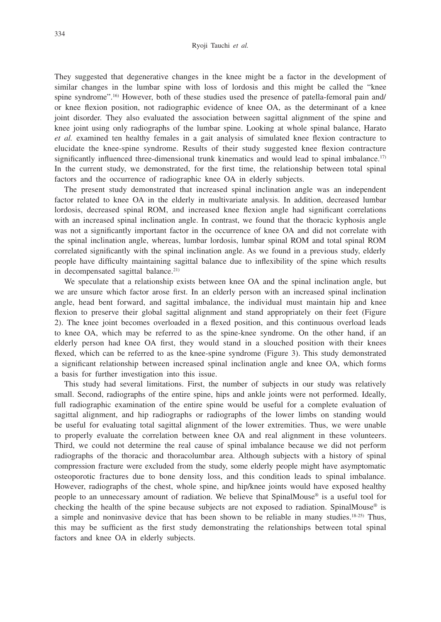They suggested that degenerative changes in the knee might be a factor in the development of similar changes in the lumbar spine with loss of lordosis and this might be called the "knee spine syndrome".<sup>16)</sup> However, both of these studies used the presence of patella-femoral pain and/ or knee flexion position, not radiographic evidence of knee OA, as the determinant of a knee joint disorder. They also evaluated the association between sagittal alignment of the spine and knee joint using only radiographs of the lumbar spine. Looking at whole spinal balance, Harato *et al.* examined ten healthy females in a gait analysis of simulated knee flexion contracture to elucidate the knee-spine syndrome. Results of their study suggested knee flexion contracture significantly influenced three-dimensional trunk kinematics and would lead to spinal imbalance.<sup>17)</sup> In the current study, we demonstrated, for the first time, the relationship between total spinal factors and the occurrence of radiographic knee OA in elderly subjects.

The present study demonstrated that increased spinal inclination angle was an independent factor related to knee OA in the elderly in multivariate analysis. In addition, decreased lumbar lordosis, decreased spinal ROM, and increased knee flexion angle had significant correlations with an increased spinal inclination angle. In contrast, we found that the thoracic kyphosis angle was not a significantly important factor in the occurrence of knee OA and did not correlate with the spinal inclination angle, whereas, lumbar lordosis, lumbar spinal ROM and total spinal ROM correlated significantly with the spinal inclination angle. As we found in a previous study, elderly people have difficulty maintaining sagittal balance due to inflexibility of the spine which results in decompensated sagittal balance.<sup>21)</sup>

We speculate that a relationship exists between knee OA and the spinal inclination angle, but we are unsure which factor arose first. In an elderly person with an increased spinal inclination angle, head bent forward, and sagittal imbalance, the individual must maintain hip and knee flexion to preserve their global sagittal alignment and stand appropriately on their feet (Figure 2). The knee joint becomes overloaded in a flexed position, and this continuous overload leads to knee OA, which may be referred to as the spine-knee syndrome. On the other hand, if an elderly person had knee OA first, they would stand in a slouched position with their knees flexed, which can be referred to as the knee-spine syndrome (Figure 3). This study demonstrated a significant relationship between increased spinal inclination angle and knee OA, which forms a basis for further investigation into this issue.

This study had several limitations. First, the number of subjects in our study was relatively small. Second, radiographs of the entire spine, hips and ankle joints were not performed. Ideally, full radiographic examination of the entire spine would be useful for a complete evaluation of sagittal alignment, and hip radiographs or radiographs of the lower limbs on standing would be useful for evaluating total sagittal alignment of the lower extremities. Thus, we were unable to properly evaluate the correlation between knee OA and real alignment in these volunteers. Third, we could not determine the real cause of spinal imbalance because we did not perform radiographs of the thoracic and thoracolumbar area. Although subjects with a history of spinal compression fracture were excluded from the study, some elderly people might have asymptomatic osteoporotic fractures due to bone density loss, and this condition leads to spinal imbalance. However, radiographs of the chest, whole spine, and hip/knee joints would have exposed healthy people to an unnecessary amount of radiation. We believe that SpinalMouse® is a useful tool for checking the health of the spine because subjects are not exposed to radiation. SpinalMouse® is a simple and noninvasive device that has been shown to be reliable in many studies.18-25) Thus, this may be sufficient as the first study demonstrating the relationships between total spinal factors and knee OA in elderly subjects.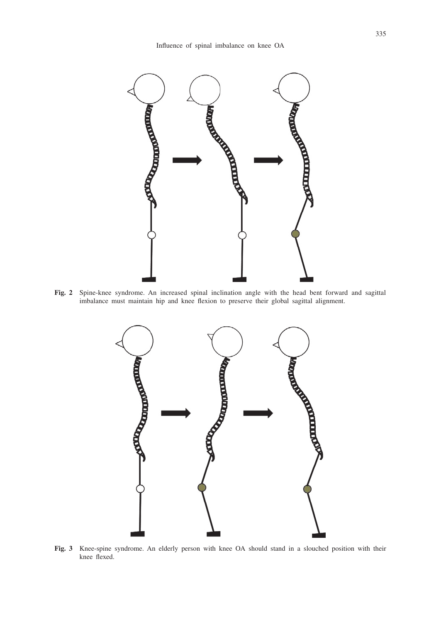

**Fig. 2** Spine-knee syndrome. An increased spinal inclination angle with the head bent forward and sagittal imbalance must maintain hip and knee flexion to preserve their global sagittal alignment.



**Fig. 3** Knee-spine syndrome. An elderly person with knee OA should stand in a slouched position with their knee flexed.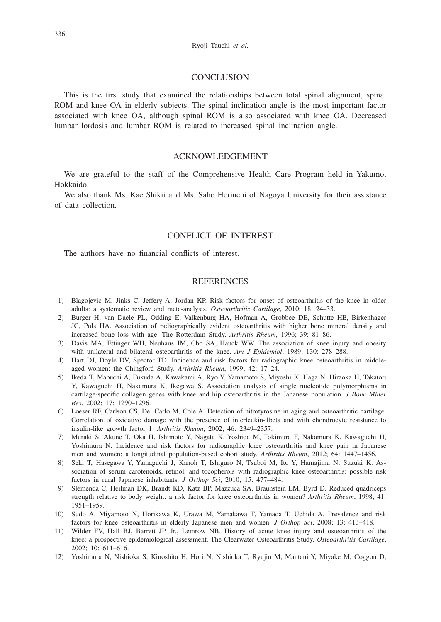## **CONCLUSION**

This is the first study that examined the relationships between total spinal alignment, spinal ROM and knee OA in elderly subjects. The spinal inclination angle is the most important factor associated with knee OA, although spinal ROM is also associated with knee OA. Decreased lumbar lordosis and lumbar ROM is related to increased spinal inclination angle.

## ACKNOWLEDGEMENT

We are grateful to the staff of the Comprehensive Health Care Program held in Yakumo, Hokkaido.

We also thank Ms. Kae Shikii and Ms. Saho Horiuchi of Nagoya University for their assistance of data collection.

## CONFLICT OF INTEREST

The authors have no financial conflicts of interest.

## **REFERENCES**

- 1) Blagojevic M, Jinks C, Jeffery A, Jordan KP. Risk factors for onset of osteoarthritis of the knee in older adults: a systematic review and meta-analysis. *Osteoarthritis Cartilage*, 2010; 18: 24–33.
- 2) Burger H, van Daele PL, Odding E, Valkenburg HA, Hofman A, Grobbee DE, Schutte HE, Birkenhager JC, Pols HA. Association of radiographically evident osteoarthritis with higher bone mineral density and increased bone loss with age. The Rotterdam Study. *Arthritis Rheum*, 1996; 39: 81–86.
- 3) Davis MA, Ettinger WH, Neuhaus JM, Cho SA, Hauck WW. The association of knee injury and obesity with unilateral and bilateral osteoarthritis of the knee. *Am J Epidemiol*, 1989; 130: 278–288.
- 4) Hart DJ, Doyle DV, Spector TD. Incidence and risk factors for radiographic knee osteoarthritis in middleaged women: the Chingford Study. *Arthritis Rheum*, 1999; 42: 17–24.
- 5) Ikeda T, Mabuchi A, Fukuda A, Kawakami A, Ryo Y, Yamamoto S, Miyoshi K, Haga N, Hiraoka H, Takatori Y, Kawaguchi H, Nakamura K, Ikegawa S. Association analysis of single nucleotide polymorphisms in cartilage-specific collagen genes with knee and hip osteoarthritis in the Japanese population. *J Bone Miner Res*, 2002; 17: 1290–1296.
- 6) Loeser RF, Carlson CS, Del Carlo M, Cole A. Detection of nitrotyrosine in aging and osteoarthritic cartilage: Correlation of oxidative damage with the presence of interleukin-1beta and with chondrocyte resistance to insulin-like growth factor 1. *Arthritis Rheum*, 2002; 46: 2349–2357.
- 7) Muraki S, Akune T, Oka H, Ishimoto Y, Nagata K, Yoshida M, Tokimura F, Nakamura K, Kawaguchi H, Yoshimura N. Incidence and risk factors for radiographic knee osteoarthritis and knee pain in Japanese men and women: a longitudinal population-based cohort study. *Arthritis Rheum*, 2012; 64: 1447–1456.
- 8) Seki T, Hasegawa Y, Yamaguchi J, Kanoh T, Ishiguro N, Tsuboi M, Ito Y, Hamajima N, Suzuki K. Association of serum carotenoids, retinol, and tocopherols with radiographic knee osteoarthritis: possible risk factors in rural Japanese inhabitants. *J Orthop Sci*, 2010; 15: 477–484.
- 9) Slemenda C, Heilman DK, Brandt KD, Katz BP, Mazzuca SA, Braunstein EM, Byrd D. Reduced quadriceps strength relative to body weight: a risk factor for knee osteoarthritis in women? *Arthritis Rheum*, 1998; 41: 1951–1959.
- 10) Sudo A, Miyamoto N, Horikawa K, Urawa M, Yamakawa T, Yamada T, Uchida A. Prevalence and risk factors for knee osteoarthritis in elderly Japanese men and women. *J Orthop Sci*, 2008; 13: 413–418.
- 11) Wilder FV, Hall BJ, Barrett JP, Jr., Lemrow NB. History of acute knee injury and osteoarthritis of the knee: a prospective epidemiological assessment. The Clearwater Osteoarthritis Study. *Osteoarthritis Cartilage*, 2002; 10: 611–616.
- 12) Yoshimura N, Nishioka S, Kinoshita H, Hori N, Nishioka T, Ryujin M, Mantani Y, Miyake M, Coggon D,